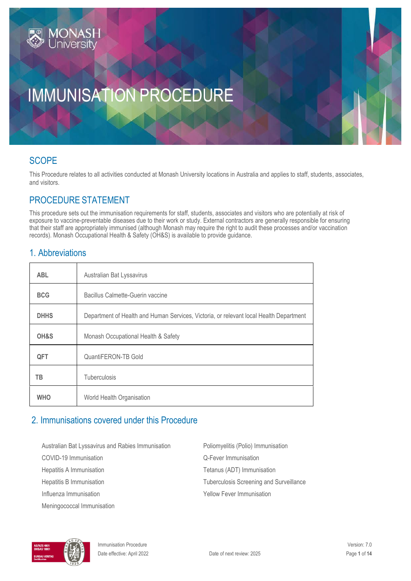# IMMUNISATION PROCEDURE

### SCOPE

This Procedure relates to all activities conducted at Monash University locations in Australia and applies to staff, students, associates, and visitors.

### PROCEDURE STATEMENT

This procedure sets out the immunisation requirements for staff, students, associates and visitors who are potentially at risk of exposure to vaccine-preventable diseases due to their work or study. External contractors are generally responsible for ensuring that their staff are appropriately immunised (although Monash may require the right to audit these processes and/or vaccination records). Monash Occupational Health & Safety (OH&S) is available to provide guidance.

### 1. Abbreviations

| <b>ABL</b>  | Australian Bat Lyssavirus                                                              |
|-------------|----------------------------------------------------------------------------------------|
| <b>BCG</b>  | Bacillus Calmette-Guerin vaccine                                                       |
| <b>DHHS</b> | Department of Health and Human Services, Victoria, or relevant local Health Department |
| OH&S        | Monash Occupational Health & Safety                                                    |
| <b>QFT</b>  | QuantiFERON-TB Gold                                                                    |
| TВ          | <b>Tuberculosis</b>                                                                    |
| <b>WHO</b>  | World Health Organisation                                                              |

### 2. Immunisations covered under this Procedure

Australian Bat Lyssavirus and Rabies Immunisation Poliomyelitis (Polio) Immunisation

Meningococcal Immunisation

COVID-19 Immunisation Q-Fever Immunisation Hepatitis A Immunisation Tetanus (ADT) Immunisation Hepatitis B Immunisation Tuberculosis Screening and Surveillance Influenza Immunisation **The Contract of Contract Contract Properties** Yellow Fever Immunisation

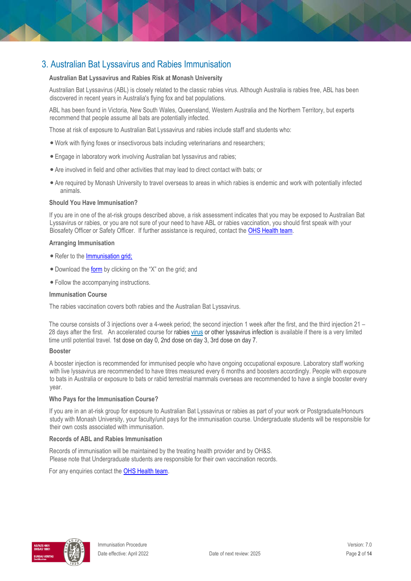### 3. Australian Bat Lyssavirus and Rabies Immunisation

#### **Australian Bat Lyssavirus and Rabies Risk at Monash University**

Australian Bat Lyssavirus (ABL) is closely related to the classic rabies virus. Although Australia is rabies free, ABL has been discovered in recent years in Australia's flying fox and bat populations.

ABL has been found in Victoria, New South Wales, Queensland, Western Australia and the Northern Territory, but experts recommend that people assume all bats are potentially infected.

Those at risk of exposure to Australian Bat Lyssavirus and rabies include staff and students who:

- Work with flying foxes or insectivorous bats including veterinarians and researchers;
- Engage in laboratory work involving Australian bat lyssavirus and rabies;
- Are involved in field and other activities that may lead to direct contact with bats; or
- Are required by Monash University to travel overseas to areas in which rabies is endemic and work with potentially infected animals.

#### **Should You Have Immunisation?**

If you are in one of the at-risk groups described above, a risk assessment indicates that you may be exposed to Australian Bat Lyssavirus or rabies, or you are not sure of your need to have ABL or rabies vaccination, you should first speak with your Biosafety Officer or Safety Officer. If further assistance is required, contact th[e OHS Health team.](https://www.monash.edu/ohs/AboutUs/health-wellbeing)

#### **Arranging Immunisation**

- Refer to th[e Immunisation grid;](https://www.monash.edu/ohs/information-and-documents/immunisations)
- Download the [form](https://www.monash.edu/__data/assets/pdf_file/0019/122914/Consent-Lyssavirus-Rabies.pdf) [by](https://www.monash.edu/__data/assets/pdf_file/0019/122914/Consent-Lyssavirus-Rabies.pdf) clicking on the "X" on the grid; and
- Follow the accompanying instructions.

#### **Immunisation Course**

The rabies vaccination covers both rabies and the Australian Bat Lyssavirus.

The course consists of 3 injections over a 4-week period; the second injection 1 week after the first, and the third injection 21 – 28 days after the first. An accelerated course for rabies [virus](https://immunisationhandbook.health.gov.au/technical-terms#virus) or other lyssavirus infection is available if there is a very limited time until potential travel. 1st dose on day 0, 2nd dose on day 3, 3rd dose on day 7.

#### **Booster**

A booster injection is recommended for immunised people who have ongoing occupational exposure. Laboratory staff working with live lyssavirus are recommended to have titres measured every 6 months and boosters accordingly. People with exposure to bats in Australia or exposure to bats or rabid terrestrial mammals overseas are recommended to have a single booster every year.

#### **Who Pays for the Immunisation Course?**

If you are in an at-risk group for exposure to Australian Bat Lyssavirus or rabies as part of your work or Postgraduate/Honours study with Monash University, your faculty/unit pays for the immunisation course. Undergraduate students will be responsible for their own costs associated with immunisation.

#### **Records of ABL and Rabies Immunisation**

Records of immunisation will be maintained by the treating health provider and by OH&S. Please note that Undergraduate students are responsible for their own vaccination records.

For any enquiries contact the [OHS Health team](https://www.monash.edu/ohs/AboutUs)[.](https://www.monash.edu/ohs/AboutUs)

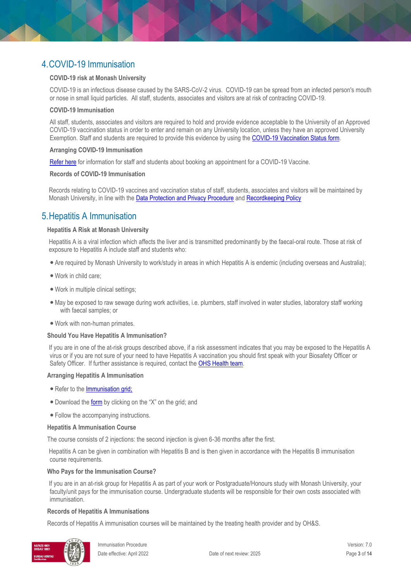### 4.COVID-19 Immunisation

#### **COVID-19 risk at Monash University**

COVID-19 is an infectious disease caused by the SARS-CoV-2 virus. COVID-19 can be spread from an infected person's mouth or nose in small liquid particles. All staff, students, associates and visitors are at risk of contracting COVID-19.

#### **COVID-19 Immunisation**

All staff, students, associates and visitors are required to hold and provide evidence acceptable to the University of an Approved COVID-19 vaccination status in order to enter and remain on any University location, unless they have an approved University Exemption. Staff and students are required to provide this evidence by using the [COVID-19 Vaccination Status form.](https://forms.monash.edu/vaccinate-monash/)

#### **Arranging COVID-19 Immunisation**

[Refer here](https://www.monash.edu/students/support/health/medical/covid-19-vaccinations) for information for staff and students about booking an appointment for a COVID-19 Vaccine.

#### **Records of COVID-19 Immunisation**

Records relating to COVID-19 vaccines and vaccination status of staff, students, associates and visitors will be maintained by Monash University, in line with the **Data Protection and Privacy Procedure** and [Recordkeeping Policy](https://publicpolicydms.monash.edu/Monash/documents/1909270)

### 5.Hepatitis A Immunisation

#### **Hepatitis A Risk at Monash University**

Hepatitis A is a viral infection which affects the liver and is transmitted predominantly by the faecal-oral route. Those at risk of exposure to Hepatitis A include staff and students who:

- Are required by Monash University to work/study in areas in which Hepatitis A is endemic (including overseas and Australia);
- Work in child care;
- Work in multiple clinical settings;
- •May be exposed to raw sewage during work activities, i.e. plumbers, staff involved in water studies, laboratory staff working with faecal samples; or
- Work with non-human primates.

#### **Should You Have Hepatitis A Immunisation?**

If you are in one of the at-risk groups described above, if a risk assessment indicates that you may be exposed to the Hepatitis A virus or if you are not sure of your need to have Hepatitis A vaccination you should first speak with your Biosafety Officer or Safety Officer. If further assistance is required, contact the **OHS Health team**.

#### **Arranging Hepatitis A Immunisation**

- Refer to the **Immunisation grid**;
- Download the [form](https://www.monash.edu/__data/assets/pdf_file/0008/122876/Consent-Hep-A.pdf) [by](https://www.monash.edu/__data/assets/pdf_file/0008/122876/Consent-Hep-A.pdf) clicking on the "X" on the grid; and
- Follow the accompanying instructions.

#### **Hepatitis A Immunisation Course**

The course consists of 2 injections: the second injection is given 6-36 months after the first.

Hepatitis A can be given in combination with Hepatitis B and is then given in accordance with the Hepatitis B immunisation course requirements.

#### **Who Pays for the Immunisation Course?**

If you are in an at-risk group for Hepatitis A as part of your work or Postgraduate/Honours study with Monash University, your faculty/unit pays for the immunisation course. Undergraduate students will be responsible for their own costs associated with immunisation.

#### **Records of Hepatitis A Immunisations**

Records of Hepatitis A immunisation courses will be maintained by the treating health provider and by OH&S.

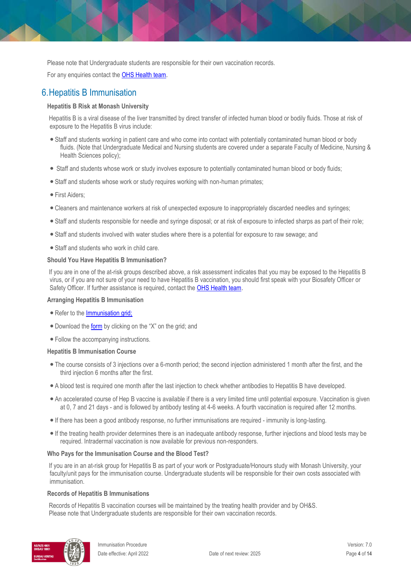Please note that Undergraduate students are responsible for their own vaccination records.

For any enquiries contact th[e OHS Health team](https://www.monash.edu/ohs/AboutUs)[.](https://www.monash.edu/ohs/AboutUs)

### 6.Hepatitis B Immunisation

#### **Hepatitis B Risk at Monash University**

Hepatitis B is a viral disease of the liver transmitted by direct transfer of infected human blood or bodily fluids. Those at risk of exposure to the Hepatitis B virus include:

- Staff and students working in patient care and who come into contact with potentially contaminated human blood or body fluids. (Note that Undergraduate Medical and Nursing students are covered under a separate Faculty of Medicine, Nursing & Health Sciences policy);
- Staff and students whose work or study involves exposure to potentially contaminated human blood or body fluids;
- Staff and students whose work or study requires working with non-human primates;
- First Aiders;
- Cleaners and maintenance workers at risk of unexpected exposure to inappropriately discarded needles and syringes;
- Staff and students responsible for needle and syringe disposal; or at risk of exposure to infected sharps as part of their role;
- Staff and students involved with water studies where there is a potential for exposure to raw sewage; and
- Staff and students who work in child care.

#### **Should You Have Hepatitis B Immunisation?**

If you are in one of the at-risk groups described above, a risk assessment indicates that you may be exposed to the Hepatitis B virus, or if you are not sure of your need to have Hepatitis B vaccination, you should first speak with your Biosafety Officer or Safety Officer. If further assistance is required, contact the [OHS Health team](https://www.monash.edu/ohs/AboutUs)[.](https://www.monash.edu/ohs/AboutUs)

#### **Arranging Hepatitis B Immunisation**

- Refer to the **Immunisation grid**;
- Download the [form](https://www.monash.edu/__data/assets/pdf_file/0009/122877/Consent-Hep-B-Normal.pdf) [by](https://www.monash.edu/__data/assets/pdf_file/0009/122877/Consent-Hep-B-Normal.pdf) clicking on the "X" on the grid; and
- Follow the accompanying instructions.

#### **Hepatitis B Immunisation Course**

- The course consists of 3 injections over a 6-month period; the second injection administered 1 month after the first, and the third injection 6 months after the first.
- A blood test is required one month after the last injection to check whether antibodies to Hepatitis B have developed.
- An accelerated course of Hep B vaccine is available if there is a very limited time until potential exposure. Vaccination is given at 0, 7 and 21 days - and is followed by antibody testing at 4-6 weeks. A fourth vaccination is required after 12 months.
- If there has been a good antibody response, no further immunisations are required immunity is long-lasting.
- If the treating health provider determines there is an inadequate antibody response, further injections and blood tests may be required. Intradermal vaccination is now available for previous non-responders.

#### **Who Pays for the Immunisation Course and the Blood Test?**

If you are in an at-risk group for Hepatitis B as part of your work or Postgraduate/Honours study with Monash University, your faculty/unit pays for the immunisation course. Undergraduate students will be responsible for their own costs associated with immunisation.

#### **Records of Hepatitis B Immunisations**

Records of Hepatitis B vaccination courses will be maintained by the treating health provider and by OH&S. Please note that Undergraduate students are responsible for their own vaccination records.

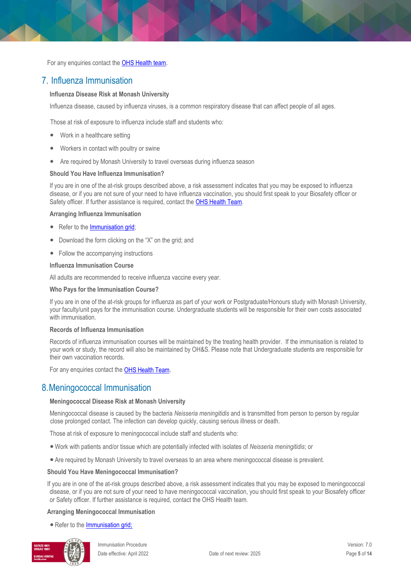For any enquiries contact the **OHS Health team**[.](https://www.monash.edu/ohs/AboutUs)

### 7. Influenza Immunisation

#### **Influenza Disease Risk at Monash University**

Influenza disease, caused by influenza viruses, is a common respiratory disease that can affect people of all ages.

Those at risk of exposure to influenza include staff and students who:

- Work in a healthcare setting
- Workers in contact with poultry or swine
- Are required by Monash University to travel overseas during influenza season

#### **Should You Have Influenza Immunisation?**

If you are in one of the at-risk groups described above, a risk assessment indicates that you may be exposed to influenza disease, or if you are not sure of your need to have influenza vaccination, you should first speak to your Biosafety officer or Safety officer. If further assistance is required, contact th[e OHS Health Team.](https://www.monash.edu/ohs/AboutUs)

**Arranging Influenza Immunisation**

- Refer to the [Immunisation grid;](https://www.monash.edu/ohs/information-and-documents/immunisations)
- Download the form clicking on the "X" on the grid; and
- Follow the accompanying instructions

#### **Influenza Immunisation Course**

All adults are recommended to receive influenza vaccine every year.

#### **Who Pays for the Immunisation Course?**

If you are in one of the at-risk groups for influenza as part of your work or Postgraduate/Honours study with Monash University, your faculty/unit pays for the immunisation course. Undergraduate students will be responsible for their own costs associated with immunisation.

#### **Records of Influenza Immunisation**

Records of influenza immunisation courses will be maintained by the treating health provider. If the immunisation is related to your work or study, the record will also be maintained by OH&S. Please note that Undergraduate students are responsible for their own vaccination records.

For any enquiries contact the OHS [Health](https://www.monash.edu/ohs/AboutUs) Team.

### 8.Meningococcal Immunisation

#### **Meningococcal Disease Risk at Monash University**

Meningococcal disease is caused by the bacteria *Neisseria meningitidis* and is transmitted from person to person by regular close prolonged contact. The infection can develop quickly, causing serious illness or death.

Those at risk of exposure to meningococcal include staff and students who:

- Work with patients and/or tissue which are potentially infected with isolates of *Neisseria meningitidis*; or
- Are required by Monash University to travel overseas to an area where meningococcal disease is prevalent.

#### **Should You Have Meningococcal Immunisation?**

If you are in one of the at-risk groups described above, a risk assessment indicates that you may be exposed to meningococcal disease, or if you are not sure of your need to have meningococcal vaccination, you should first speak to your Biosafety officer or Safety officer. If further assistance is required, contact the OHS Health team.

#### **Arranging Meningococcal Immunisation**

• Refer to th[e Immunisation grid;](https://www.monash.edu/ohs/information-and-documents/immunisations)

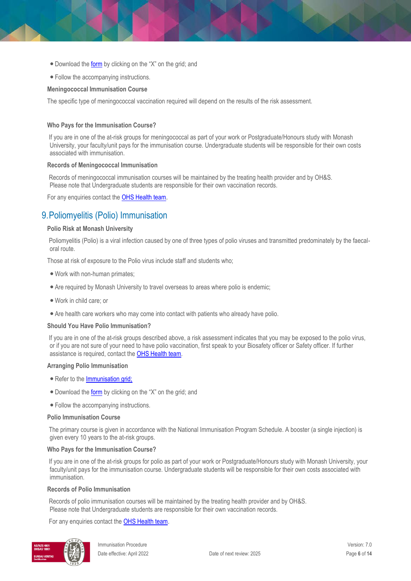- Download the [form](https://www.monash.edu/ohs/info-docs/safety-topics/immunisation) [by](https://www.monash.edu/ohs/info-docs/safety-topics/immunisation) clicking on the "X" on the grid; and
- Follow the accompanying instructions.

#### **Meningococcal Immunisation Course**

The specific type of meningococcal vaccination required will depend on the results of the risk assessment.

#### **Who Pays for the Immunisation Course?**

If you are in one of the at-risk groups for meningococcal as part of your work or Postgraduate/Honours study with Monash University, your faculty/unit pays for the immunisation course. Undergraduate students will be responsible for their own costs associated with immunisation.

#### **Records of Meningococcal Immunisation**

Records of meningococcal immunisation courses will be maintained by the treating health provider and by OH&S. Please note that Undergraduate students are responsible for their own vaccination records.

For any enquiries contact th[e OHS Health team](https://www.monash.edu/ohs/AboutUs)[.](https://www.monash.edu/ohs/AboutUs)

### 9.Poliomyelitis (Polio) Immunisation

#### **Polio Risk at Monash University**

Poliomyelitis (Polio) is a viral infection caused by one of three types of polio viruses and transmitted predominately by the faecaloral route.

Those at risk of exposure to the Polio virus include staff and students who;

- Work with non-human primates;
- Are required by Monash University to travel overseas to areas where polio is endemic;
- Work in child care; or
- Are health care workers who may come into contact with patients who already have polio.

#### **Should You Have Polio Immunisation?**

If you are in one of the at-risk groups described above, a risk assessment indicates that you may be exposed to the polio virus, or if you are not sure of your need to have polio vaccination, first speak to your Biosafety officer or Safety officer. If further assistance is required, contact the **OHS Health team.** 

#### **Arranging Polio Immunisation**

- Refer to th[e Immunisation grid;](https://www.monash.edu/ohs/information-and-documents/immunisations)
- Download the [form](https://www.monash.edu/__data/assets/pdf_file/0010/122959/Consent-Polio.pdf) [by](https://www.monash.edu/__data/assets/pdf_file/0010/122959/Consent-Polio.pdf) clicking on the "X" on the grid; and
- Follow the accompanying instructions.

#### **Polio Immunisation Course**

The primary course is given in accordance with the National Immunisation Program Schedule. A booster (a single injection) is given every 10 years to the at-risk groups.

#### **Who Pays for the Immunisation Course?**

If you are in one of the at-risk groups for polio as part of your work or Postgraduate/Honours study with Monash University, your faculty/unit pays for the immunisation course. Undergraduate students will be responsible for their own costs associated with immunisation.

#### **Records of Polio Immunisation**

Records of polio immunisation courses will be maintained by the treating health provider and by OH&S. Please note that Undergraduate students are responsible for their own vaccination records.

For any enquiries contact the **OHS Health team[.](https://www.monash.edu/ohs/AboutUs)** 

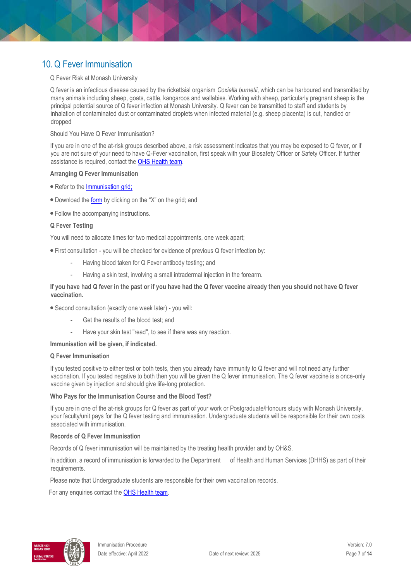### 10.Q Fever Immunisation

#### Q Fever Risk at Monash University

Q fever is an infectious disease caused by the rickettsial organism *Coxiella burnetii*, which can be harboured and transmitted by many animals including sheep, goats, cattle, kangaroos and wallabies. Working with sheep, particularly pregnant sheep is the principal potential source of Q fever infection at Monash University. Q fever can be transmitted to staff and students by inhalation of contaminated dust or contaminated droplets when infected material (e.g. sheep placenta) is cut, handled or dropped

#### Should You Have Q Fever Immunisation?

If you are in one of the at-risk groups described above, a risk assessment indicates that you may be exposed to Q fever, or if you are not sure of your need to have Q-Fever vaccination, first speak with your Biosafety Officer or Safety Officer. If further assistance is required, contact th[e OHS Health team.](https://www.monash.edu/ohs/AboutUs/health-wellbeing)

#### **Arranging Q Fever Immunisation**

- Refer to th[e Immunisation grid;](https://www.monash.edu/ohs/information-and-documents/immunisations)
- Download the [form](https://www.monash.edu/__data/assets/pdf_file/0003/126165/Consent-QFever.pdf) [by](https://www.monash.edu/__data/assets/pdf_file/0003/126165/Consent-QFever.pdf) clicking on the "X" on the grid; and
- Follow the accompanying instructions.

#### **Q Fever Testing**

You will need to allocate times for two medical appointments, one week apart;

- First consultation you will be checked for evidence of previous Q fever infection by:
	- Having blood taken for Q Fever antibody testing; and
	- Having a skin test, involving a small intradermal injection in the forearm.

#### **If you have had Q fever in the past or if you have had the Q fever vaccine already then you should not have Q fever vaccination.**

- Second consultation (exactly one week later) you will:
	- Get the results of the blood test; and
	- Have your skin test "read", to see if there was any reaction.

#### **Immunisation will be given, if indicated.**

#### **Q Fever Immunisation**

If you tested positive to either test or both tests, then you already have immunity to Q fever and will not need any further vaccination. If you tested negative to both then you will be given the Q fever immunisation. The Q fever vaccine is a once-only vaccine given by injection and should give life-long protection.

#### **Who Pays for the Immunisation Course and the Blood Test?**

If you are in one of the at-risk groups for Q fever as part of your work or Postgraduate/Honours study with Monash University, your faculty/unit pays for the Q fever testing and immunisation. Undergraduate students will be responsible for their own costs associated with immunisation.

#### **Records of Q Fever Immunisation**

Records of Q fever immunisation will be maintained by the treating health provider and by OH&S.

In addition, a record of immunisation is forwarded to the Department of Health and Human Services (DHHS) as part of their requirements.

Please note that Undergraduate students are responsible for their own vaccination records.

For any enquiries contact the [OHS Health team](https://www.monash.edu/ohs/AboutUs)[.](https://www.monash.edu/ohs/AboutUs)

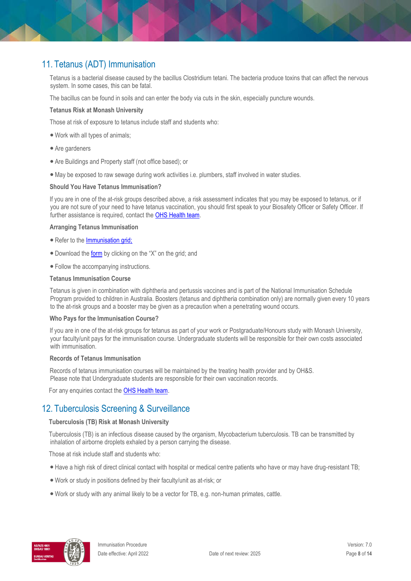### 11. Tetanus (ADT) Immunisation

Tetanus is a bacterial disease caused by the bacillus Clostridium tetani. The bacteria produce toxins that can affect the nervous system. In some cases, this can be fatal.

The bacillus can be found in soils and can enter the body via cuts in the skin, especially puncture wounds.

#### **Tetanus Risk at Monash University**

Those at risk of exposure to tetanus include staff and students who:

- Work with all types of animals;
- Are gardeners
- Are Buildings and Property staff (not office based); or
- •May be exposed to raw sewage during work activities i.e. plumbers, staff involved in water studies.

#### **Should You Have Tetanus Immunisation?**

If you are in one of the at-risk groups described above, a risk assessment indicates that you may be exposed to tetanus, or if you are not sure of your need to have tetanus vaccination, you should first speak to your Biosafety Officer or Safety Officer. If further assistance is required, contact the [OHS Health team.](https://www.monash.edu/ohs/AboutUs/health-wellbeing)

#### **Arranging Tetanus Immunisation**

- Refer to th[e Immunisation grid;](https://www.monash.edu/ohs/information-and-documents/immunisations)
- Download the [form](https://www.monash.edu/__data/assets/pdf_file/0020/126173/Consent-Tetanus-Diphtheria.pdf) [by](https://www.monash.edu/__data/assets/pdf_file/0020/126173/Consent-Tetanus-Diphtheria.pdf) clicking on the "X" on the grid; and
- Follow the accompanying instructions.

#### **Tetanus Immunisation Course**

Tetanus is given in combination with diphtheria and pertussis vaccines and is part of the National Immunisation Schedule Program provided to children in Australia. Boosters (tetanus and diphtheria combination only) are normally given every 10 years to the at-risk groups and a booster may be given as a precaution when a penetrating wound occurs.

#### **Who Pays for the Immunisation Course?**

If you are in one of the at-risk groups for tetanus as part of your work or Postgraduate/Honours study with Monash University, your faculty/unit pays for the immunisation course. Undergraduate students will be responsible for their own costs associated with immunisation.

#### **Records of Tetanus Immunisation**

Records of tetanus immunisation courses will be maintained by the treating health provider and by OH&S. Please note that Undergraduate students are responsible for their own vaccination records.

For any enquiries contact the [OHS Health team](https://www.monash.edu/ohs/AboutUs)[.](https://www.monash.edu/ohs/AboutUs)

### 12. Tuberculosis Screening & Surveillance

#### **Tuberculosis (TB) Risk at Monash University**

Tuberculosis (TB) is an infectious disease caused by the organism, Mycobacterium tuberculosis. TB can be transmitted by inhalation of airborne droplets exhaled by a person carrying the disease.

Those at risk include staff and students who:

- Have a high risk of direct clinical contact with hospital or medical centre patients who have or may have drug-resistant TB;
- Work or study in positions defined by their faculty/unit as at-risk; or
- Work or study with any animal likely to be a vector for TB, e.g. non-human primates, cattle.

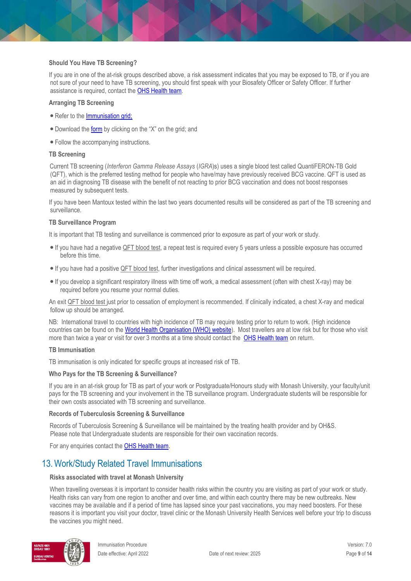#### **Should You Have TB Screening?**

If you are in one of the at-risk groups described above, a risk assessment indicates that you may be exposed to TB, or if you are not sure of your need to have TB screening, you should first speak with your Biosafety Officer or Safety Officer. If further assistance is required, contact the [OHS Health team.](https://www.monash.edu/ohs/AboutUs/health-wellbeing)

#### **Arranging TB Screening**

- Refer to th[e Immunisation grid;](https://www.monash.edu/ohs/information-and-documents/immunisations)
- Download the [form](https://www.monash.edu/__data/assets/pdf_file/0006/126177/Consent-TB.pdf) [by](https://www.monash.edu/__data/assets/pdf_file/0006/126177/Consent-TB.pdf) clicking on the "X" on the grid; and
- Follow the accompanying instructions.

#### **TB Screening**

Current TB screening (*Interferon Gamma Release Assays* (*IGRA*)s) uses a single blood test called QuantiFERON-TB Gold (QFT), which is the preferred testing method for people who have/may have previously received BCG vaccine. QFT is used as an aid in diagnosing TB disease with the benefit of not reacting to prior BCG vaccination and does not boost responses measured by subsequent tests.

If you have been Mantoux tested within the last two years documented results will be considered as part of the TB screening and surveillance.

#### **TB Surveillance Program**

It is important that TB testing and surveillance is commenced prior to exposure as part of your work or study.

- If you have had a negative QFT blood test, a repeat test is required every 5 years unless a possible exposure has occurred before this time.
- If you have had a positive QFT blood test, further investigations and clinical assessment will be required.
- If you develop a significant respiratory illness with time off work, a medical assessment (often with chest X-ray) may be required before you resume your normal duties.

An exit QFT blood test just prior to cessation of employment is recommended. If clinically indicated, a chest X-ray and medical follow up should be arranged.

NB: International travel to countries with high incidence of TB may require testing prior to return to work. (High incidence countries can be found on the [World Health Organisation \(WHO\) website\)](https://www.who.int/teams/global-tuberculosis-programme/data). Most travellers are at low risk but for those who visit more than twice a year or visit for over 3 months at a time should contact the [OHS Health team](https://www.monash.edu/ohs/AboutUs) on return.

#### **TB Immunisation**

TB immunisation is only indicated for specific groups at increased risk of TB.

#### **Who Pays for the TB Screening & Surveillance?**

If you are in an at-risk group for TB as part of your work or Postgraduate/Honours study with Monash University, your faculty/unit pays for the TB screening and your involvement in the TB surveillance program. Undergraduate students will be responsible for their own costs associated with TB screening and surveillance.

#### **Records of Tuberculosis Screening & Surveillance**

Records of Tuberculosis Screening & Surveillance will be maintained by the treating health provider and by OH&S. Please note that Undergraduate students are responsible for their own vaccination records.

For any enquiries contact the [OHS Health team](https://www.monash.edu/ohs/AboutUs)[.](https://www.monash.edu/ohs/AboutUs)

### 13.Work/Study Related Travel Immunisations

#### **Risks associated with travel at Monash University**

When travelling overseas it is important to consider health risks within the country you are visiting as part of your work or study. Health risks can vary from one region to another and over time, and within each country there may be new outbreaks. New vaccines may be available and if a period of time has lapsed since your past vaccinations, you may need boosters. For these reasons it is important you visit your doctor, travel clinic or the Monash University Health Services well before your trip to discuss the vaccines you might need.

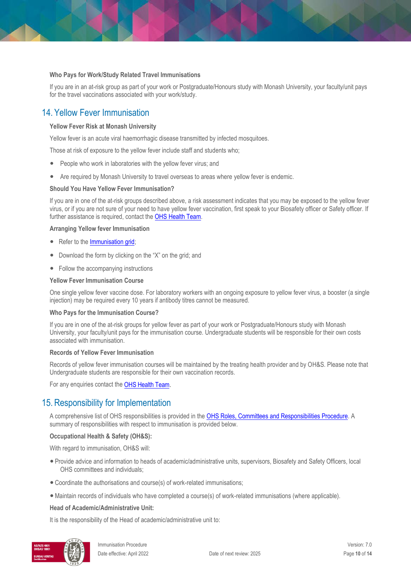#### **Who Pays for Work/Study Related Travel Immunisations**

If you are in an at-risk group as part of your work or Postgraduate/Honours study with Monash University, your faculty/unit pays for the travel vaccinations associated with your work/study.

### 14. Yellow Fever Immunisation

#### **Yellow Fever Risk at Monash University**

Yellow fever is an acute viral haemorrhagic disease transmitted by infected mosquitoes.

Those at risk of exposure to the yellow fever include staff and students who;

- People who work in laboratories with the yellow fever virus; and
- Are required by Monash University to travel overseas to areas where yellow fever is endemic.

#### **Should You Have Yellow Fever Immunisation?**

If you are in one of the at-risk groups described above, a risk assessment indicates that you may be exposed to the yellow fever virus, or if you are not sure of your need to have yellow fever vaccination, first speak to your Biosafety officer or Safety officer. If further assistance is required, contact th[e OHS Health Team.](https://www.monash.edu/ohs/AboutUs)

#### **Arranging Yellow fever Immunisation**

- Refer to th[e Immunisation grid;](https://www.monash.edu/ohs/information-and-documents/immunisations)
- Download the form by clicking on the "X" on the grid; and
- Follow the accompanying instructions

#### **Yellow Fever Immunisation Course**

One single yellow fever vaccine dose. For laboratory workers with an ongoing exposure to yellow fever virus, a booster (a single injection) may be required every 10 years if antibody titres cannot be measured.

#### **Who Pays for the Immunisation Course?**

If you are in one of the at-risk groups for yellow fever as part of your work or Postgraduate/Honours study with Monash University, your faculty/unit pays for the immunisation course. Undergraduate students will be responsible for their own costs associated with immunisation.

#### **Records of Yellow Fever Immunisation**

Records of yellow fever immunisation courses will be maintained by the treating health provider and by OH&S. Please note that Undergraduate students are responsible for their own vaccination records.

For any enquiries contact the OHS [Health](https://www.monash.edu/ohs/AboutUs) Team.

### 15. Responsibility for Implementation

A comprehensive list of OHS responsibilities is provided in the [OHS Roles, Committees and Responsibilities Procedure.](https://publicpolicydms.monash.edu/Monash/documents/1935644) A summary of responsibilities with respect to immunisation is provided below.

#### **Occupational Health & Safety (OH&S):**

With regard to immunisation, OH&S will:

- Provide advice and information to heads of academic/administrative units, supervisors, Biosafety and Safety Officers, local OHS committees and individuals;
- Coordinate the authorisations and course(s) of work-related immunisations;
- •Maintain records of individuals who have completed a course(s) of work-related immunisations (where applicable).

#### **Head of Academic/Administrative Unit:**

It is the responsibility of the Head of academic/administrative unit to:

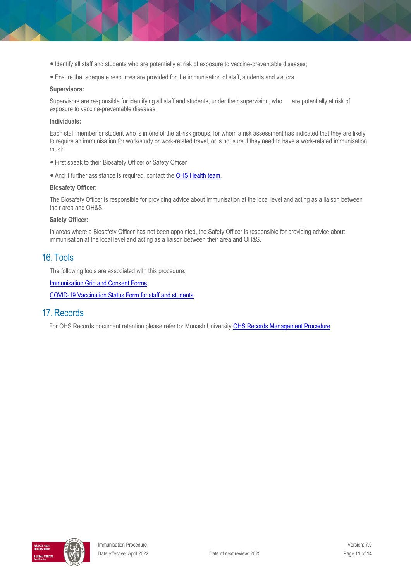- Identify all staff and students who are potentially at risk of exposure to vaccine-preventable diseases;
- Ensure that adequate resources are provided for the immunisation of staff, students and visitors.

#### **Supervisors:**

Supervisors are responsible for identifying all staff and students, under their supervision, who are potentially at risk of exposure to vaccine-preventable diseases.

#### **Individuals:**

Each staff member or student who is in one of the at-risk groups, for whom a risk assessment has indicated that they are likely to require an immunisation for work/study or work-related travel, or is not sure if they need to have a work-related immunisation, must:

- First speak to their Biosafety Officer or Safety Officer
- And if further assistance is required, contact the [OHS Health team.](https://www.monash.edu/ohs/AboutUs)

#### **Biosafety Officer:**

The Biosafety Officer is responsible for providing advice about immunisation at the local level and acting as a liaison between their area and OH&S.

#### **Safety Officer:**

In areas where a Biosafety Officer has not been appointed, the Safety Officer is responsible for providing advice about immunisation at the local level and acting as a liaison between their area and OH&S.

### 16. Tools

The following tools are associated with this procedure:

**[Immunisation Grid and Consent Forms](https://www.monash.edu/ohs/information-and-documents/immunisations)** 

[COVID-19 Vaccination Status Form](https://forms.monash.edu/vaccinate-monash/) for staff and students

### 17. Records

For OHS Records document retention please refer to: Monash University [OHS Records Management Procedure](https://publicpolicydms.monash.edu/Monash/documents/1935642)[.](https://www.monash.edu/__data/assets/pdf_file/0011/248717/OHS-Records-Management-Procedure.pdf)

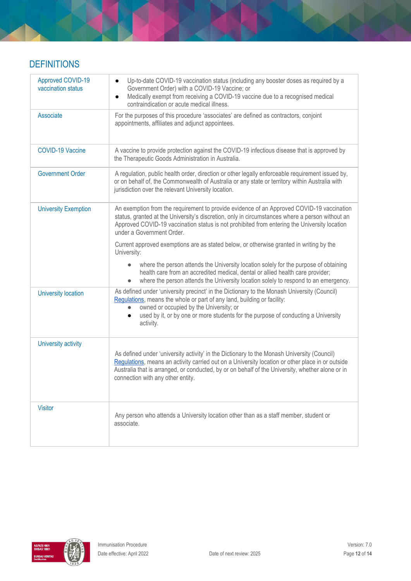### **DEFINITIONS**

| Approved COVID-19<br>vaccination status | Up-to-date COVID-19 vaccination status (including any booster doses as required by a<br>$\bullet$<br>Government Order) with a COVID-19 Vaccine; or<br>Medically exempt from receiving a COVID-19 vaccine due to a recognised medical<br>$\bullet$<br>contraindication or acute medical illness.                                          |
|-----------------------------------------|------------------------------------------------------------------------------------------------------------------------------------------------------------------------------------------------------------------------------------------------------------------------------------------------------------------------------------------|
| Associate                               | For the purposes of this procedure 'associates' are defined as contractors, conjoint<br>appointments, affiliates and adjunct appointees.                                                                                                                                                                                                 |
| <b>COVID-19 Vaccine</b>                 | A vaccine to provide protection against the COVID-19 infectious disease that is approved by<br>the Therapeutic Goods Administration in Australia.                                                                                                                                                                                        |
| <b>Government Order</b>                 | A regulation, public health order, direction or other legally enforceable requirement issued by,<br>or on behalf of, the Commonwealth of Australia or any state or territory within Australia with<br>jurisdiction over the relevant University location.                                                                                |
| <b>University Exemption</b>             | An exemption from the requirement to provide evidence of an Approved COVID-19 vaccination<br>status, granted at the University's discretion, only in circumstances where a person without an<br>Approved COVID-19 vaccination status is not prohibited from entering the University location<br>under a Government Order.                |
|                                         | Current approved exemptions are as stated below, or otherwise granted in writing by the<br>University:                                                                                                                                                                                                                                   |
|                                         | where the person attends the University location solely for the purpose of obtaining<br>health care from an accredited medical, dental or allied health care provider;<br>where the person attends the University location solely to respond to an emergency.                                                                            |
| <b>University location</b>              | As defined under 'university precinct' in the Dictionary to the Monash University (Council)<br>Regulations, means the whole or part of any land, building or facility:<br>owned or occupied by the University; or                                                                                                                        |
|                                         | used by it, or by one or more students for the purpose of conducting a University<br>activity.                                                                                                                                                                                                                                           |
| University activity                     |                                                                                                                                                                                                                                                                                                                                          |
|                                         | As defined under 'university activity' in the Dictionary to the Monash University (Council)<br>Regulations, means an activity carried out on a University location or other place in or outside<br>Australia that is arranged, or conducted, by or on behalf of the University, whether alone or in<br>connection with any other entity. |
| <b>Visitor</b>                          | Any person who attends a University location other than as a staff member, student or<br>associate.                                                                                                                                                                                                                                      |

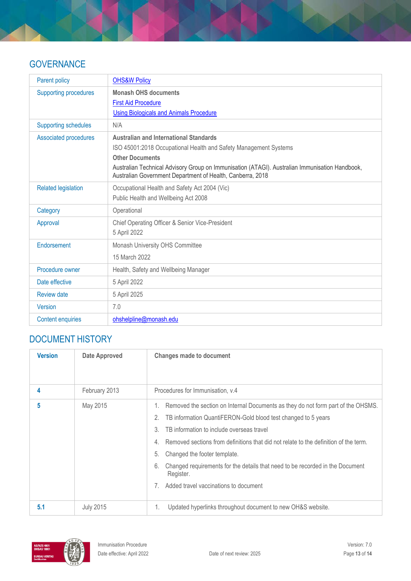### **GOVERNANCE**

| Parent policy                | <b>OHS&amp;W Policy</b>                                                                                                                                      |
|------------------------------|--------------------------------------------------------------------------------------------------------------------------------------------------------------|
| <b>Supporting procedures</b> | <b>Monash OHS documents</b>                                                                                                                                  |
|                              | <b>First Aid Procedure</b>                                                                                                                                   |
|                              | <b>Using Biologicals and Animals Procedure</b>                                                                                                               |
| <b>Supporting schedules</b>  | N/A                                                                                                                                                          |
| Associated procedures        | <b>Australian and International Standards</b>                                                                                                                |
|                              | ISO 45001:2018 Occupational Health and Safety Management Systems                                                                                             |
|                              | <b>Other Documents</b>                                                                                                                                       |
|                              | Australian Technical Advisory Group on Immunisation (ATAGI). Australian Immunisation Handbook,<br>Australian Government Department of Health, Canberra, 2018 |
| <b>Related legislation</b>   | Occupational Health and Safety Act 2004 (Vic)                                                                                                                |
|                              | Public Health and Wellbeing Act 2008                                                                                                                         |
| Category                     | Operational                                                                                                                                                  |
| Approval                     | Chief Operating Officer & Senior Vice-President                                                                                                              |
|                              | 5 April 2022                                                                                                                                                 |
| Endorsement                  | Monash University OHS Committee                                                                                                                              |
|                              | 15 March 2022                                                                                                                                                |
| Procedure owner              | Health, Safety and Wellbeing Manager                                                                                                                         |
| Date effective               | 5 April 2022                                                                                                                                                 |
| <b>Review date</b>           | 5 April 2025                                                                                                                                                 |
| Version                      | 7.0                                                                                                                                                          |
| <b>Content enquiries</b>     | ohshelpline@monash.edu                                                                                                                                       |

## DOCUMENT HISTORY

| <b>Version</b> | <b>Date Approved</b> | <b>Changes made to document</b>                                                                  |
|----------------|----------------------|--------------------------------------------------------------------------------------------------|
|                |                      |                                                                                                  |
|                | February 2013        | Procedures for Immunisation, v.4                                                                 |
| 5              | May 2015             | Removed the section on Internal Documents as they do not form part of the OHSMS.                 |
|                |                      | TB information QuantiFERON-Gold blood test changed to 5 years<br>2.                              |
|                |                      | 3.<br>TB information to include overseas travel                                                  |
|                |                      | Removed sections from definitions that did not relate to the definition of the term.<br>4.       |
|                |                      | Changed the footer template.<br>5.                                                               |
|                |                      | Changed requirements for the details that need to be recorded in the Document<br>6.<br>Register. |
|                |                      | Added travel vaccinations to document                                                            |
| 5.1            | <b>July 2015</b>     | Updated hyperlinks throughout document to new OH&S website.<br>1.                                |